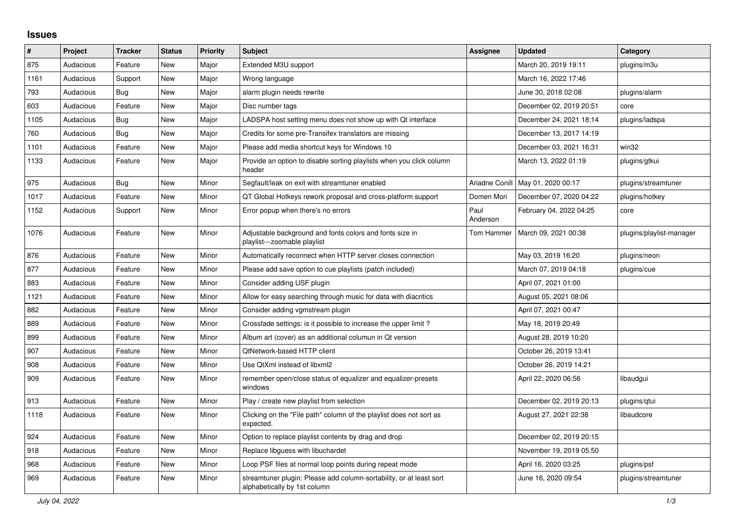## **Issues**

| $\vert$ # | Project   | <b>Tracker</b> | <b>Status</b> | <b>Priority</b> | <b>Subject</b>                                                                                      | <b>Assignee</b>  | <b>Updated</b>                      | Category                 |
|-----------|-----------|----------------|---------------|-----------------|-----------------------------------------------------------------------------------------------------|------------------|-------------------------------------|--------------------------|
| 875       | Audacious | Feature        | <b>New</b>    | Major           | Extended M3U support                                                                                |                  | March 20, 2019 19:11                | plugins/m3u              |
| 1161      | Audacious | Support        | New           | Major           | Wrong language                                                                                      |                  | March 16, 2022 17:46                |                          |
| 793       | Audacious | Bug            | <b>New</b>    | Major           | alarm plugin needs rewrite                                                                          |                  | June 30, 2018 02:08                 | plugins/alarm            |
| 603       | Audacious | Feature        | <b>New</b>    | Major           | Disc number tags                                                                                    |                  | December 02, 2019 20:51             | core                     |
| 1105      | Audacious | <b>Bug</b>     | <b>New</b>    | Major           | LADSPA host setting menu does not show up with Qt interface                                         |                  | December 24, 2021 18:14             | plugins/ladspa           |
| 760       | Audacious | <b>Bug</b>     | <b>New</b>    | Major           | Credits for some pre-Transifex translators are missing                                              |                  | December 13, 2017 14:19             |                          |
| 1101      | Audacious | Feature        | New           | Major           | Please add media shortcut keys for Windows 10                                                       |                  | December 03, 2021 16:31             | win32                    |
| 1133      | Audacious | Feature        | New           | Major           | Provide an option to disable sorting playlists when you click column<br>header                      |                  | March 13, 2022 01:19                | plugins/gtkui            |
| 975       | Audacious | <b>Bug</b>     | <b>New</b>    | Minor           | Segfault/leak on exit with streamtuner enabled                                                      |                  | Ariadne Conill   May 01, 2020 00:17 | plugins/streamtuner      |
| 1017      | Audacious | Feature        | New           | Minor           | QT Global Hotkeys rework proposal and cross-platform support                                        | Domen Mori       | December 07, 2020 04:22             | plugins/hotkey           |
| 1152      | Audacious | Support        | <b>New</b>    | Minor           | Error popup when there's no errors                                                                  | Paul<br>Anderson | February 04, 2022 04:25             | core                     |
| 1076      | Audacious | Feature        | <b>New</b>    | Minor           | Adjustable background and fonts colors and fonts size in<br>playlist---zoomable playlist            | Tom Hammer       | March 09, 2021 00:38                | plugins/playlist-manager |
| 876       | Audacious | Feature        | <b>New</b>    | Minor           | Automatically reconnect when HTTP server closes connection                                          |                  | May 03, 2019 16:20                  | plugins/neon             |
| 877       | Audacious | Feature        | <b>New</b>    | Minor           | Please add save option to cue playlists (patch included)                                            |                  | March 07, 2019 04:18                | plugins/cue              |
| 883       | Audacious | Feature        | <b>New</b>    | Minor           | Consider adding USF plugin                                                                          |                  | April 07, 2021 01:00                |                          |
| 1121      | Audacious | Feature        | <b>New</b>    | Minor           | Allow for easy searching through music for data with diacritics                                     |                  | August 05, 2021 08:06               |                          |
| 882       | Audacious | Feature        | <b>New</b>    | Minor           | Consider adding vgmstream plugin                                                                    |                  | April 07, 2021 00:47                |                          |
| 889       | Audacious | Feature        | New           | Minor           | Crossfade settings: is it possible to increase the upper limit?                                     |                  | May 18, 2019 20:49                  |                          |
| 899       | Audacious | Feature        | <b>New</b>    | Minor           | Album art (cover) as an additional columun in Qt version                                            |                  | August 28, 2019 10:20               |                          |
| 907       | Audacious | Feature        | <b>New</b>    | Minor           | QtNetwork-based HTTP client                                                                         |                  | October 26, 2019 13:41              |                          |
| 908       | Audacious | Feature        | <b>New</b>    | Minor           | Use QtXml instead of libxml2                                                                        |                  | October 26, 2019 14:21              |                          |
| 909       | Audacious | Feature        | <b>New</b>    | Minor           | remember open/close status of equalizer and equalizer-presets<br>windows                            |                  | April 22, 2020 06:56                | libaudgui                |
| 913       | Audacious | Feature        | <b>New</b>    | Minor           | Play / create new playlist from selection                                                           |                  | December 02, 2019 20:13             | plugins/qtui             |
| 1118      | Audacious | Feature        | <b>New</b>    | Minor           | Clicking on the "File path" column of the playlist does not sort as<br>expected.                    |                  | August 27, 2021 22:38               | libaudcore               |
| 924       | Audacious | Feature        | New           | Minor           | Option to replace playlist contents by drag and drop                                                |                  | December 02, 2019 20:15             |                          |
| 918       | Audacious | Feature        | <b>New</b>    | Minor           | Replace libguess with libuchardet                                                                   |                  | November 19, 2019 05:50             |                          |
| 968       | Audacious | Feature        | New           | Minor           | Loop PSF files at normal loop points during repeat mode                                             |                  | April 16, 2020 03:25                | plugins/psf              |
| 969       | Audacious | Feature        | <b>New</b>    | Minor           | streamtuner plugin: Please add column-sortability, or at least sort<br>alphabetically by 1st column |                  | June 16, 2020 09:54                 | plugins/streamtuner      |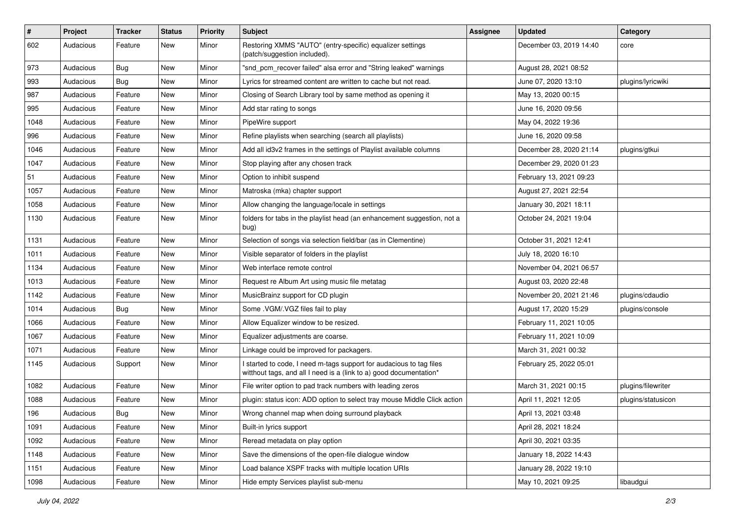| $\#$ | Project   | <b>Tracker</b> | <b>Status</b> | <b>Priority</b> | Subject                                                                                                                                   | <b>Assignee</b> | <b>Updated</b>          | Category           |
|------|-----------|----------------|---------------|-----------------|-------------------------------------------------------------------------------------------------------------------------------------------|-----------------|-------------------------|--------------------|
| 602  | Audacious | Feature        | New           | Minor           | Restoring XMMS "AUTO" (entry-specific) equalizer settings<br>(patch/suggestion included).                                                 |                 | December 03, 2019 14:40 | core               |
| 973  | Audacious | Bug            | New           | Minor           | "snd pcm recover failed" alsa error and "String leaked" warnings                                                                          |                 | August 28, 2021 08:52   |                    |
| 993  | Audacious | Bug            | New           | Minor           | Lyrics for streamed content are written to cache but not read.                                                                            |                 | June 07, 2020 13:10     | plugins/lyricwiki  |
| 987  | Audacious | Feature        | New           | Minor           | Closing of Search Library tool by same method as opening it                                                                               |                 | May 13, 2020 00:15      |                    |
| 995  | Audacious | Feature        | New           | Minor           | Add star rating to songs                                                                                                                  |                 | June 16, 2020 09:56     |                    |
| 1048 | Audacious | Feature        | New           | Minor           | PipeWire support                                                                                                                          |                 | May 04, 2022 19:36      |                    |
| 996  | Audacious | Feature        | New           | Minor           | Refine playlists when searching (search all playlists)                                                                                    |                 | June 16, 2020 09:58     |                    |
| 1046 | Audacious | Feature        | New           | Minor           | Add all id3v2 frames in the settings of Playlist available columns                                                                        |                 | December 28, 2020 21:14 | plugins/gtkui      |
| 1047 | Audacious | Feature        | <b>New</b>    | Minor           | Stop playing after any chosen track                                                                                                       |                 | December 29, 2020 01:23 |                    |
| 51   | Audacious | Feature        | New           | Minor           | Option to inhibit suspend                                                                                                                 |                 | February 13, 2021 09:23 |                    |
| 1057 | Audacious | Feature        | New           | Minor           | Matroska (mka) chapter support                                                                                                            |                 | August 27, 2021 22:54   |                    |
| 1058 | Audacious | Feature        | New           | Minor           | Allow changing the language/locale in settings                                                                                            |                 | January 30, 2021 18:11  |                    |
| 1130 | Audacious | Feature        | New           | Minor           | folders for tabs in the playlist head (an enhancement suggestion, not a<br>bug)                                                           |                 | October 24, 2021 19:04  |                    |
| 1131 | Audacious | Feature        | New           | Minor           | Selection of songs via selection field/bar (as in Clementine)                                                                             |                 | October 31, 2021 12:41  |                    |
| 1011 | Audacious | Feature        | New           | Minor           | Visible separator of folders in the playlist                                                                                              |                 | July 18, 2020 16:10     |                    |
| 1134 | Audacious | Feature        | New           | Minor           | Web interface remote control                                                                                                              |                 | November 04, 2021 06:57 |                    |
| 1013 | Audacious | Feature        | New           | Minor           | Request re Album Art using music file metatag                                                                                             |                 | August 03, 2020 22:48   |                    |
| 1142 | Audacious | Feature        | New           | Minor           | MusicBrainz support for CD plugin                                                                                                         |                 | November 20, 2021 21:46 | plugins/cdaudio    |
| 1014 | Audacious | Bug            | New           | Minor           | Some .VGM/.VGZ files fail to play                                                                                                         |                 | August 17, 2020 15:29   | plugins/console    |
| 1066 | Audacious | Feature        | New           | Minor           | Allow Equalizer window to be resized.                                                                                                     |                 | February 11, 2021 10:05 |                    |
| 1067 | Audacious | Feature        | New           | Minor           | Equalizer adjustments are coarse.                                                                                                         |                 | February 11, 2021 10:09 |                    |
| 1071 | Audacious | Feature        | New           | Minor           | Linkage could be improved for packagers.                                                                                                  |                 | March 31, 2021 00:32    |                    |
| 1145 | Audacious | Support        | New           | Minor           | I started to code, I need m-tags support for audacious to tag files<br>witthout tags, and all I need is a (link to a) good documentation* |                 | February 25, 2022 05:01 |                    |
| 1082 | Audacious | Feature        | New           | Minor           | File writer option to pad track numbers with leading zeros                                                                                |                 | March 31, 2021 00:15    | plugins/filewriter |
| 1088 | Audacious | Feature        | New           | Minor           | plugin: status icon: ADD option to select tray mouse Middle Click action                                                                  |                 | April 11, 2021 12:05    | plugins/statusicon |
| 196  | Audacious | Bug            | New           | Minor           | Wrong channel map when doing surround playback                                                                                            |                 | April 13, 2021 03:48    |                    |
| 1091 | Audacious | Feature        | New           | Minor           | Built-in lyrics support                                                                                                                   |                 | April 28, 2021 18:24    |                    |
| 1092 | Audacious | Feature        | New           | Minor           | Reread metadata on play option                                                                                                            |                 | April 30, 2021 03:35    |                    |
| 1148 | Audacious | Feature        | New           | Minor           | Save the dimensions of the open-file dialogue window                                                                                      |                 | January 18, 2022 14:43  |                    |
| 1151 | Audacious | Feature        | New           | Minor           | Load balance XSPF tracks with multiple location URIs                                                                                      |                 | January 28, 2022 19:10  |                    |
| 1098 | Audacious | Feature        | New           | Minor           | Hide empty Services playlist sub-menu                                                                                                     |                 | May 10, 2021 09:25      | libaudgui          |